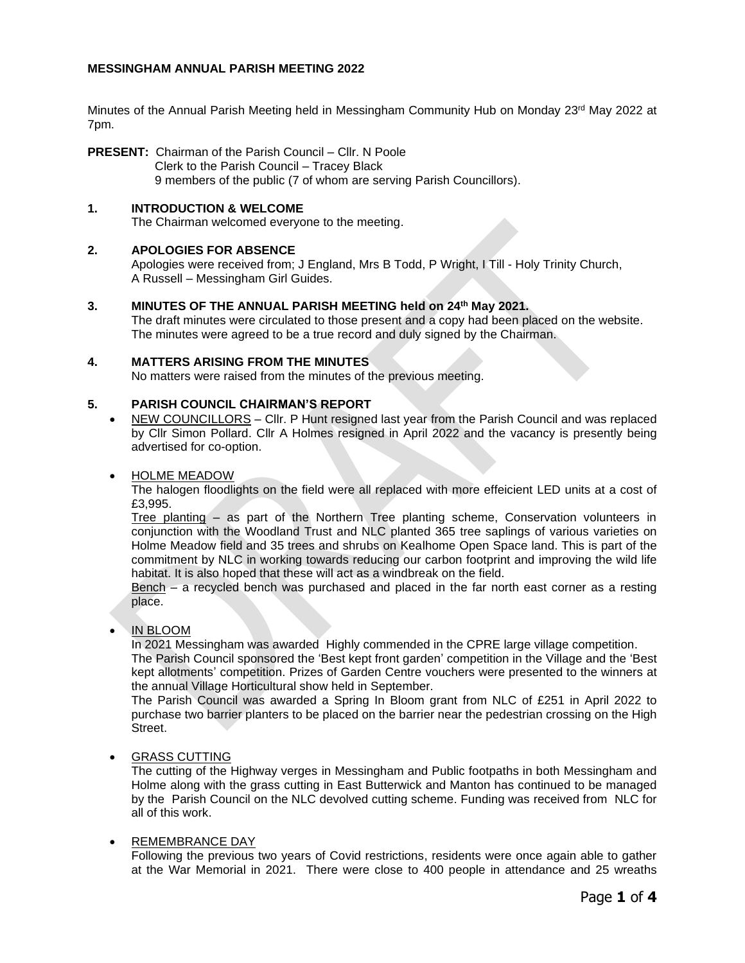# **MESSINGHAM ANNUAL PARISH MEETING 2022**

Minutes of the Annual Parish Meeting held in Messingham Community Hub on Monday 23<sup>rd</sup> May 2022 at 7pm.

**PRESENT:** Chairman of the Parish Council – Cllr. N Poole Clerk to the Parish Council – Tracey Black 9 members of the public (7 of whom are serving Parish Councillors).

## **1. INTRODUCTION & WELCOME**

The Chairman welcomed everyone to the meeting.

# **2. APOLOGIES FOR ABSENCE**

Apologies were received from; J England, Mrs B Todd, P Wright, I Till - Holy Trinity Church, A Russell – Messingham Girl Guides.

## **3. MINUTES OF THE ANNUAL PARISH MEETING held on 24th May 2021.**

The draft minutes were circulated to those present and a copy had been placed on the website. The minutes were agreed to be a true record and duly signed by the Chairman.

## **4. MATTERS ARISING FROM THE MINUTES**

No matters were raised from the minutes of the previous meeting.

## **5. PARISH COUNCIL CHAIRMAN'S REPORT**

• NEW COUNCILLORS – Cllr. P Hunt resigned last year from the Parish Council and was replaced by Cllr Simon Pollard. Cllr A Holmes resigned in April 2022 and the vacancy is presently being advertised for co-option.

# • HOLME MEADOW

The halogen floodlights on the field were all replaced with more effeicient LED units at a cost of £3,995.

Tree planting – as part of the Northern Tree planting scheme, Conservation volunteers in conjunction with the Woodland Trust and NLC planted 365 tree saplings of various varieties on Holme Meadow field and 35 trees and shrubs on Kealhome Open Space land. This is part of the commitment by NLC in working towards reducing our carbon footprint and improving the wild life habitat. It is also hoped that these will act as a windbreak on the field.

Bench – a recycled bench was purchased and placed in the far north east corner as a resting place.

## • IN BLOOM

In 2021 Messingham was awarded Highly commended in the CPRE large village competition.

The Parish Council sponsored the 'Best kept front garden' competition in the Village and the 'Best kept allotments' competition. Prizes of Garden Centre vouchers were presented to the winners at the annual Village Horticultural show held in September.

The Parish Council was awarded a Spring In Bloom grant from NLC of £251 in April 2022 to purchase two barrier planters to be placed on the barrier near the pedestrian crossing on the High Street.

## • GRASS CUTTING

The cutting of the Highway verges in Messingham and Public footpaths in both Messingham and Holme along with the grass cutting in East Butterwick and Manton has continued to be managed by the Parish Council on the NLC devolved cutting scheme. Funding was received from NLC for all of this work.

## • REMEMBRANCE DAY

Following the previous two years of Covid restrictions, residents were once again able to gather at the War Memorial in 2021. There were close to 400 people in attendance and 25 wreaths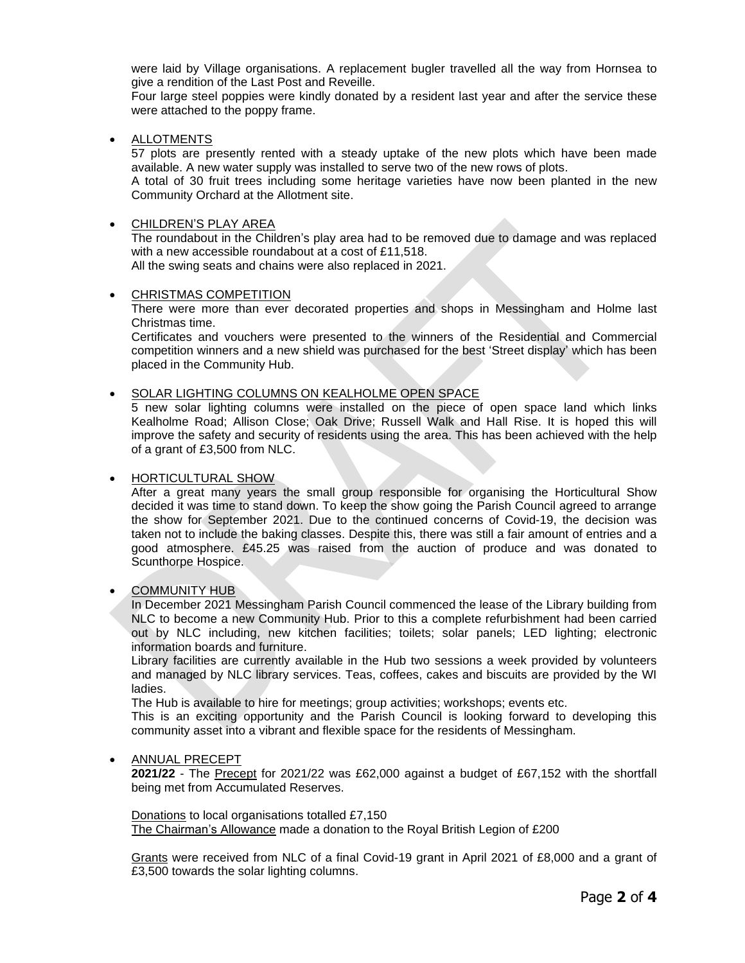were laid by Village organisations. A replacement bugler travelled all the way from Hornsea to give a rendition of the Last Post and Reveille.

Four large steel poppies were kindly donated by a resident last year and after the service these were attached to the poppy frame.

• ALLOTMENTS

57 plots are presently rented with a steady uptake of the new plots which have been made available. A new water supply was installed to serve two of the new rows of plots.

A total of 30 fruit trees including some heritage varieties have now been planted in the new Community Orchard at the Allotment site.

#### • CHILDREN'S PLAY AREA

The roundabout in the Children's play area had to be removed due to damage and was replaced with a new accessible roundabout at a cost of £11,518.

All the swing seats and chains were also replaced in 2021.

#### • CHRISTMAS COMPETITION

There were more than ever decorated properties and shops in Messingham and Holme last Christmas time.

Certificates and vouchers were presented to the winners of the Residential and Commercial competition winners and a new shield was purchased for the best 'Street display' which has been placed in the Community Hub.

#### • SOLAR LIGHTING COLUMNS ON KEALHOLME OPEN SPACE

5 new solar lighting columns were installed on the piece of open space land which links Kealholme Road; Allison Close; Oak Drive; Russell Walk and Hall Rise. It is hoped this will improve the safety and security of residents using the area. This has been achieved with the help of a grant of £3,500 from NLC.

#### • HORTICULTURAL SHOW

After a great many years the small group responsible for organising the Horticultural Show decided it was time to stand down. To keep the show going the Parish Council agreed to arrange the show for September 2021. Due to the continued concerns of Covid-19, the decision was taken not to include the baking classes. Despite this, there was still a fair amount of entries and a good atmosphere. £45.25 was raised from the auction of produce and was donated to Scunthorpe Hospice.

## • COMMUNITY HUB

In December 2021 Messingham Parish Council commenced the lease of the Library building from NLC to become a new Community Hub. Prior to this a complete refurbishment had been carried out by NLC including, new kitchen facilities; toilets; solar panels; LED lighting; electronic information boards and furniture.

Library facilities are currently available in the Hub two sessions a week provided by volunteers and managed by NLC library services. Teas, coffees, cakes and biscuits are provided by the WI ladies.

The Hub is available to hire for meetings; group activities; workshops; events etc.

This is an exciting opportunity and the Parish Council is looking forward to developing this community asset into a vibrant and flexible space for the residents of Messingham.

#### • ANNUAL PRECEPT

**2021/22** - The Precept for 2021/22 was £62,000 against a budget of £67,152 with the shortfall being met from Accumulated Reserves.

Donations to local organisations totalled £7,150 The Chairman's Allowance made a donation to the Royal British Legion of £200

Grants were received from NLC of a final Covid-19 grant in April 2021 of £8,000 and a grant of £3,500 towards the solar lighting columns.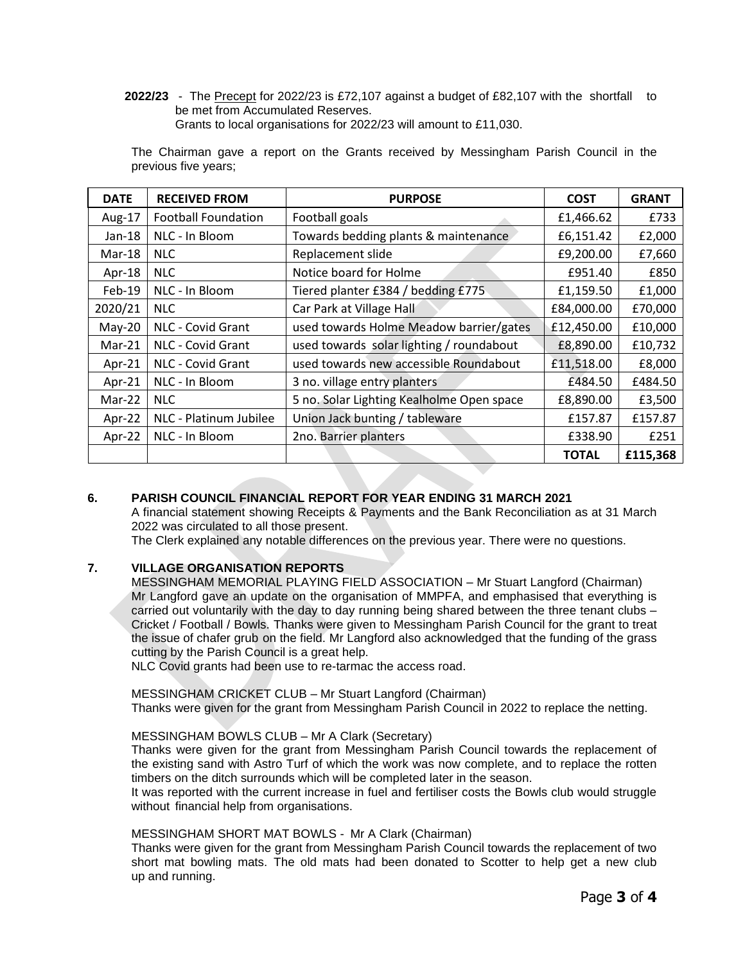**2022/23** - The Precept for 2022/23 is £72,107 against a budget of £82,107 with the shortfall to be met from Accumulated Reserves. Grants to local organisations for 2022/23 will amount to £11,030.

| <b>DATE</b> | <b>RECEIVED FROM</b>       | <b>PURPOSE</b>                            | <b>COST</b>  | <b>GRANT</b> |
|-------------|----------------------------|-------------------------------------------|--------------|--------------|
| Aug-17      | <b>Football Foundation</b> | Football goals                            | £1,466.62    | £733         |
| Jan-18      | NLC - In Bloom             | Towards bedding plants & maintenance      | £6,151.42    | £2,000       |
| Mar-18      | NLC.                       | Replacement slide                         | £9,200.00    | £7,660       |
| Apr-18      | <b>NLC</b>                 | Notice board for Holme                    | £951.40      | £850         |
| Feb-19      | NLC - In Bloom             | Tiered planter £384 / bedding £775        | £1,159.50    | £1,000       |
| 2020/21     | <b>NLC</b>                 | Car Park at Village Hall                  | £84,000.00   | £70,000      |
| $May-20$    | NLC - Covid Grant          | used towards Holme Meadow barrier/gates   | £12,450.00   | £10,000      |
| $Mar-21$    | NLC - Covid Grant          | used towards solar lighting / roundabout  | £8,890.00    | £10,732      |
| Apr-21      | NLC - Covid Grant          | used towards new accessible Roundabout    | £11,518.00   | £8,000       |
| Apr-21      | NLC - In Bloom             | 3 no. village entry planters              | £484.50      | £484.50      |
| Mar-22      | NLC.                       | 5 no. Solar Lighting Kealholme Open space | £8,890.00    | £3,500       |
| Apr-22      | NLC - Platinum Jubilee     | Union Jack bunting / tableware            | £157.87      | £157.87      |
| Apr-22      | NLC - In Bloom             | 2no. Barrier planters                     | £338.90      | £251         |
|             |                            |                                           | <b>TOTAL</b> | £115,368     |

The Chairman gave a report on the Grants received by Messingham Parish Council in the previous five years;

# **6. PARISH COUNCIL FINANCIAL REPORT FOR YEAR ENDING 31 MARCH 2021**

A financial statement showing Receipts & Payments and the Bank Reconciliation as at 31 March 2022 was circulated to all those present.

The Clerk explained any notable differences on the previous year. There were no questions.

# **7. VILLAGE ORGANISATION REPORTS**

MESSINGHAM MEMORIAL PLAYING FIELD ASSOCIATION – Mr Stuart Langford (Chairman) Mr Langford gave an update on the organisation of MMPFA, and emphasised that everything is carried out voluntarily with the day to day running being shared between the three tenant clubs – Cricket / Football / Bowls. Thanks were given to Messingham Parish Council for the grant to treat the issue of chafer grub on the field. Mr Langford also acknowledged that the funding of the grass cutting by the Parish Council is a great help.

NLC Covid grants had been use to re-tarmac the access road.

MESSINGHAM CRICKET CLUB – Mr Stuart Langford (Chairman) Thanks were given for the grant from Messingham Parish Council in 2022 to replace the netting.

## MESSINGHAM BOWLS CLUB – Mr A Clark (Secretary)

Thanks were given for the grant from Messingham Parish Council towards the replacement of the existing sand with Astro Turf of which the work was now complete, and to replace the rotten timbers on the ditch surrounds which will be completed later in the season.

It was reported with the current increase in fuel and fertiliser costs the Bowls club would struggle without financial help from organisations.

## MESSINGHAM SHORT MAT BOWLS - Mr A Clark (Chairman)

Thanks were given for the grant from Messingham Parish Council towards the replacement of two short mat bowling mats. The old mats had been donated to Scotter to help get a new club up and running.